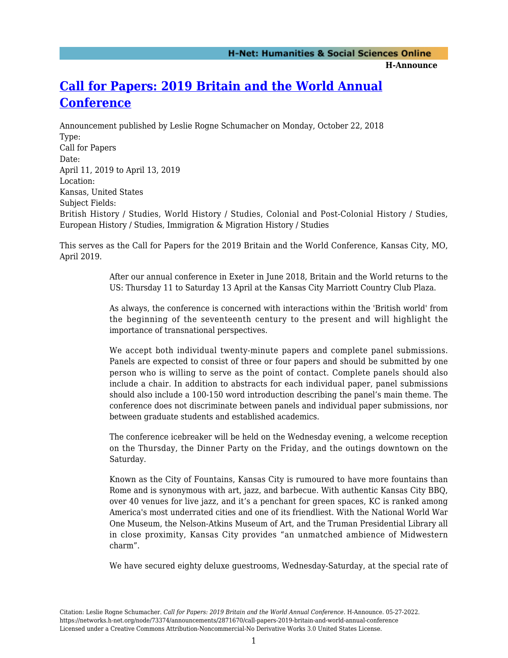**H-Announce** 

## **[Call for Papers: 2019 Britain and the World Annual](https://networks.h-net.org/node/73374/announcements/2871670/call-papers-2019-britain-and-world-annual-conference) [Conference](https://networks.h-net.org/node/73374/announcements/2871670/call-papers-2019-britain-and-world-annual-conference)**

Announcement published by Leslie Rogne Schumacher on Monday, October 22, 2018 Type: Call for Papers Date: April 11, 2019 to April 13, 2019 Location: Kansas, United States Subject Fields: British History / Studies, World History / Studies, Colonial and Post-Colonial History / Studies, European History / Studies, Immigration & Migration History / Studies

This serves as the Call for Papers for the 2019 Britain and the World Conference, Kansas City, MO, April 2019.

> After our annual conference in Exeter in June 2018, Britain and the World returns to the US: Thursday 11 to Saturday 13 April at the Kansas City Marriott Country Club Plaza.

> As always, the conference is concerned with interactions within the 'British world' from the beginning of the seventeenth century to the present and will highlight the importance of transnational perspectives.

> We accept both individual twenty-minute papers and complete panel submissions. Panels are expected to consist of three or four papers and should be submitted by one person who is willing to serve as the point of contact. Complete panels should also include a chair. In addition to abstracts for each individual paper, panel submissions should also include a 100-150 word introduction describing the panel's main theme. The conference does not discriminate between panels and individual paper submissions, nor between graduate students and established academics.

> The conference icebreaker will be held on the Wednesday evening, a welcome reception on the Thursday, the Dinner Party on the Friday, and the outings downtown on the Saturday.

> Known as the City of Fountains, Kansas City is rumoured to have more fountains than Rome and is synonymous with art, jazz, and barbecue. With authentic Kansas City BBQ, over 40 venues for live jazz, and it's a penchant for green spaces, KC is ranked among America's most underrated cities and one of its friendliest. With the National World War One Museum, the Nelson-Atkins Museum of Art, and the Truman Presidential Library all in close proximity, Kansas City provides "an unmatched ambience of Midwestern charm".

> We have secured eighty deluxe guestrooms, Wednesday-Saturday, at the special rate of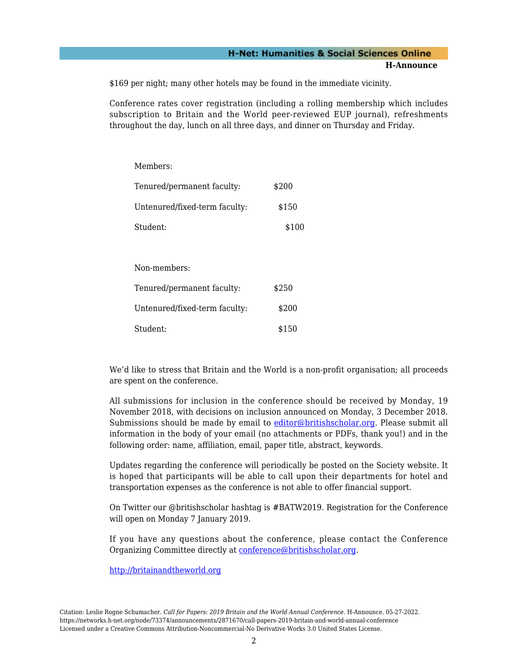## **H-Net: Humanities & Social Sciences Online H-Announce**

\$169 per night; many other hotels may be found in the immediate vicinity.

Conference rates cover registration (including a rolling membership which includes subscription to Britain and the World peer-reviewed EUP journal), refreshments throughout the day, lunch on all three days, and dinner on Thursday and Friday.

| Members:                      |       |
|-------------------------------|-------|
| Tenured/permanent faculty:    | \$200 |
| Untenured/fixed-term faculty: | \$150 |
| Student:                      | \$100 |
|                               |       |
| Non-members:                  |       |
| Tenured/permanent faculty:    | \$250 |
| Untenured/fixed-term faculty: | \$200 |
| Student:                      | \$150 |

We'd like to stress that Britain and the World is a non-profit organisation; all proceeds are spent on the conference.

All submissions for inclusion in the conference should be received by Monday, 19 November 2018, with decisions on inclusion announced on Monday, 3 December 2018. Submissions should be made by email to [editor@britishscholar.org](mailto:editor@britishscholar.org). Please submit all information in the body of your email (no attachments or PDFs, thank you!) and in the following order: name, affiliation, email, paper title, abstract, keywords.

Updates regarding the conference will periodically be posted on the Society website. It is hoped that participants will be able to call upon their departments for hotel and transportation expenses as the conference is not able to offer financial support.

On Twitter our @britishscholar hashtag is #BATW2019. Registration for the Conference will open on Monday 7 January 2019.

If you have any questions about the conference, please contact the Conference Organizing Committee directly at [conference@britishscholar.org](mailto:conference@britishscholar.org).

<http://britainandtheworld.org>

Citation: Leslie Rogne Schumacher. *Call for Papers: 2019 Britain and the World Annual Conference*. H-Announce. 05-27-2022. https://networks.h-net.org/node/73374/announcements/2871670/call-papers-2019-britain-and-world-annual-conference Licensed under a Creative Commons Attribution-Noncommercial-No Derivative Works 3.0 United States License.